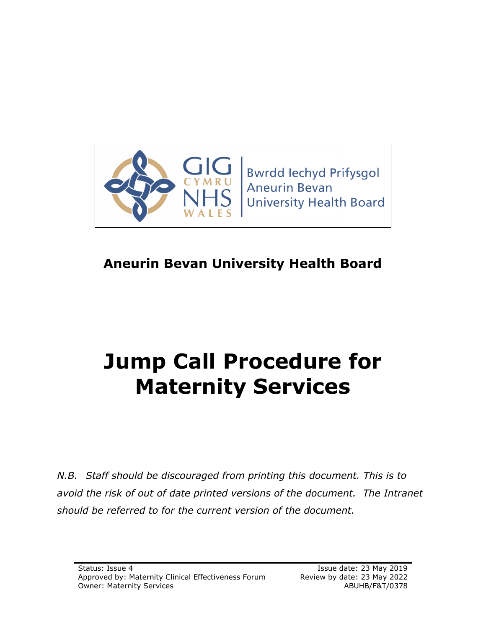

# **Aneurin Bevan University Health Board**

# **Jump Call Procedure for Maternity Services**

*N.B. Staff should be discouraged from printing this document. This is to avoid the risk of out of date printed versions of the document. The Intranet should be referred to for the current version of the document.*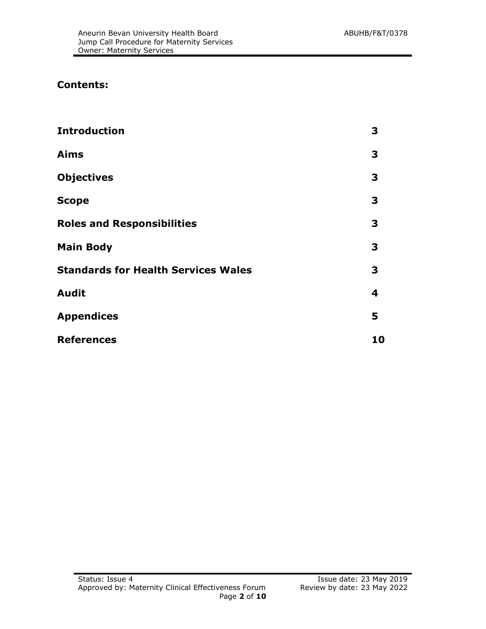#### **Contents:**

| <b>Introduction</b>                        | 3  |
|--------------------------------------------|----|
| <b>Aims</b>                                | 3  |
| <b>Objectives</b>                          | 3  |
| <b>Scope</b>                               | 3  |
| <b>Roles and Responsibilities</b>          | 3  |
| <b>Main Body</b>                           | 3  |
| <b>Standards for Health Services Wales</b> | 3  |
| <b>Audit</b>                               | 4  |
| <b>Appendices</b>                          | 5  |
| <b>References</b>                          | 10 |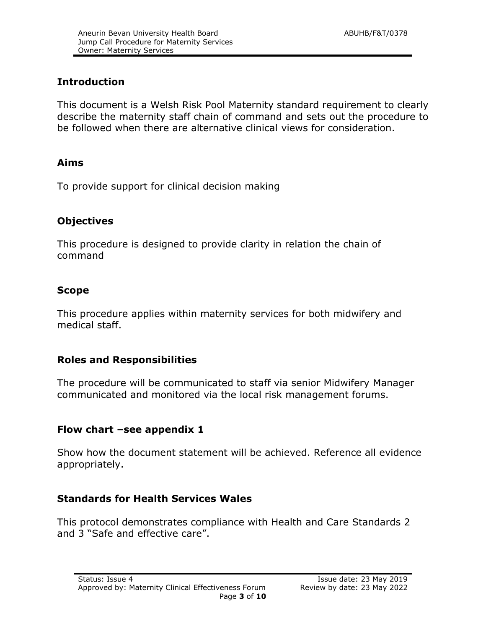#### **Introduction**

This document is a Welsh Risk Pool Maternity standard requirement to clearly describe the maternity staff chain of command and sets out the procedure to be followed when there are alternative clinical views for consideration.

#### **Aims**

To provide support for clinical decision making

#### **Objectives**

This procedure is designed to provide clarity in relation the chain of command

#### **Scope**

This procedure applies within maternity services for both midwifery and medical staff.

#### **Roles and Responsibilities**

The procedure will be communicated to staff via senior Midwifery Manager communicated and monitored via the local risk management forums.

#### **Flow chart –see appendix 1**

Show how the document statement will be achieved. Reference all evidence appropriately.

#### **Standards for Health Services Wales**

This protocol demonstrates compliance with Health and Care Standards 2 and 3 "Safe and effective care".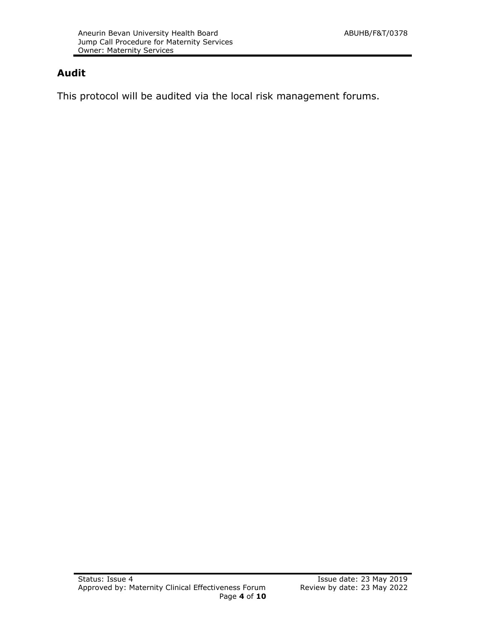### **Audit**

This protocol will be audited via the local risk management forums.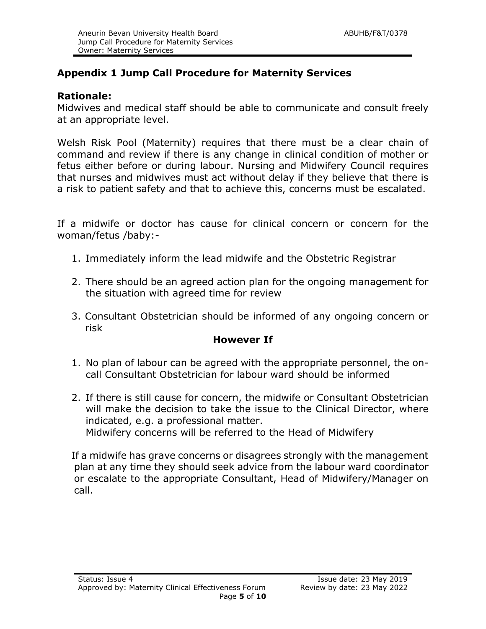# **Appendix 1 Jump Call Procedure for Maternity Services**

#### **Rationale:**

Midwives and medical staff should be able to communicate and consult freely at an appropriate level.

Welsh Risk Pool (Maternity) requires that there must be a clear chain of command and review if there is any change in clinical condition of mother or fetus either before or during labour. Nursing and Midwifery Council requires that nurses and midwives must act without delay if they believe that there is a risk to patient safety and that to achieve this, concerns must be escalated.

If a midwife or doctor has cause for clinical concern or concern for the woman/fetus /baby:-

- 1. Immediately inform the lead midwife and the Obstetric Registrar
- 2. There should be an agreed action plan for the ongoing management for the situation with agreed time for review
- 3. Consultant Obstetrician should be informed of any ongoing concern or risk

#### **However If**

- 1. No plan of labour can be agreed with the appropriate personnel, the oncall Consultant Obstetrician for labour ward should be informed
- 2. If there is still cause for concern, the midwife or Consultant Obstetrician will make the decision to take the issue to the Clinical Director, where indicated, e.g. a professional matter. Midwifery concerns will be referred to the Head of Midwifery

If a midwife has grave concerns or disagrees strongly with the management plan at any time they should seek advice from the labour ward coordinator or escalate to the appropriate Consultant, Head of Midwifery/Manager on call.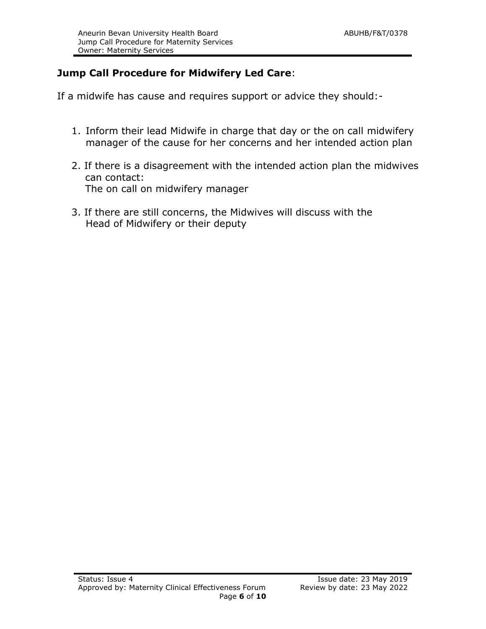## **Jump Call Procedure for Midwifery Led Care**:

If a midwife has cause and requires support or advice they should:-

- 1. Inform their lead Midwife in charge that day or the on call midwifery manager of the cause for her concerns and her intended action plan
- 2. If there is a disagreement with the intended action plan the midwives can contact: The on call on midwifery manager
- 3. If there are still concerns, the Midwives will discuss with the Head of Midwifery or their deputy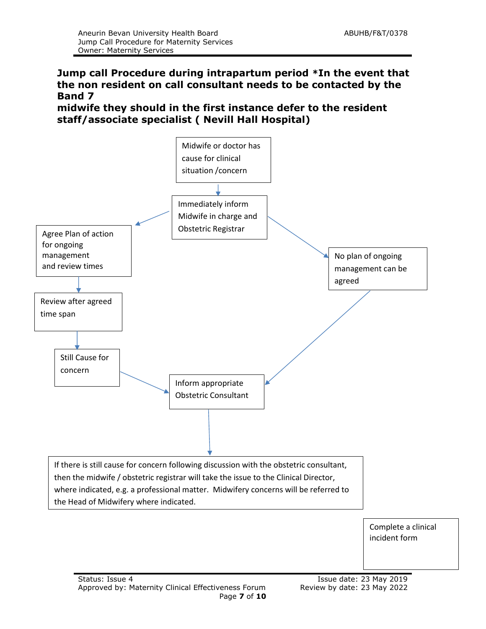#### **Jump call Procedure during intrapartum period \*In the event that the non resident on call consultant needs to be contacted by the Band 7**

**midwife they should in the first instance defer to the resident staff/associate specialist ( Nevill Hall Hospital)**

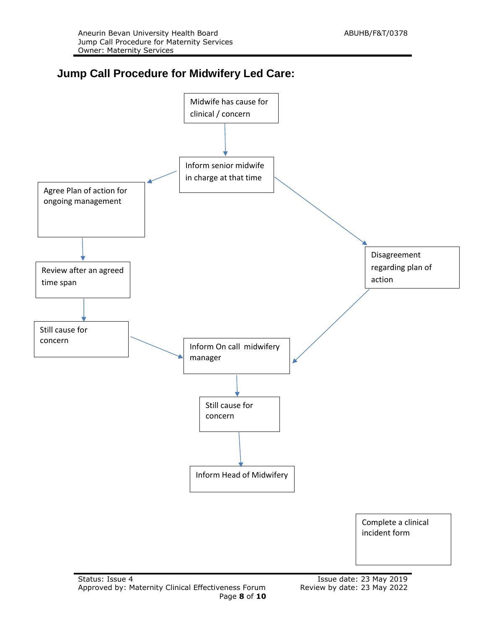# **Jump Call Procedure for Midwifery Led Care:**

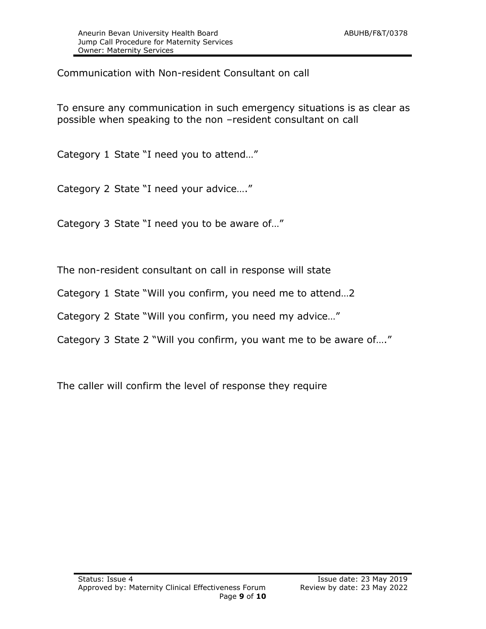Communication with Non-resident Consultant on call

To ensure any communication in such emergency situations is as clear as possible when speaking to the non –resident consultant on call

Category 1 State "I need you to attend…"

Category 2 State "I need your advice…."

Category 3 State "I need you to be aware of…"

The non-resident consultant on call in response will state

Category 1 State "Will you confirm, you need me to attend…2

Category 2 State "Will you confirm, you need my advice…"

Category 3 State 2 "Will you confirm, you want me to be aware of…."

The caller will confirm the level of response they require